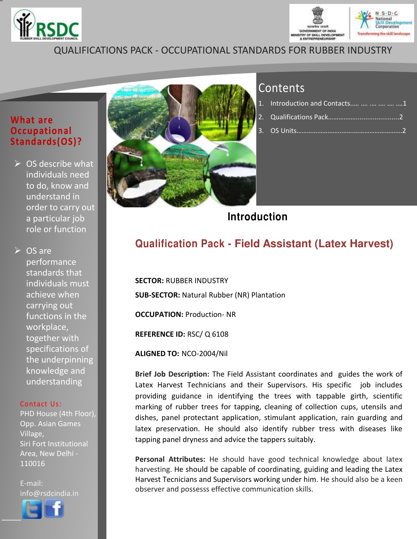



## QUALIFICATIONS PACK - OCCUPATIONAL STANDARDS FOR RUBBER INDUSTRY

### **What are Occupational Standards(OS)?**

 $\triangleright$  OS describe what individuals need to do, know and understand in order to carry out a particular job role or function

**► OS are** performance standards that individuals must achieve when carrying out functions in the workplace, together with specifications of the underpinning knowledge and understanding

#### Contact Us:

PHD House (4th Floor), Opp. Asian Games Village, Siri Fort Institutional Area, New Delhi - 110016

E-mail: info@rsdcindia.in



<span id="page-0-0"></span>l I



# **Contents**

| 1. Introduction and Contacts      1            |  |
|------------------------------------------------|--|
|                                                |  |
| 3.  OS Units………………… <del>……………………………………2</del> |  |

**Introduction**

### **Qualification Pack - Field Assistant (Latex Harvest)**

**SECTOR:** RUBBER INDUSTRY **SUB-SECTOR:** Natural Rubber (NR) Plantation **OCCUPATION:** Production- NR

**REFERENCE ID:** RSC/ Q 6108

**ALIGNED TO:** NCO-2004/Nil

**Brief Job Description:** The Field Assistant coordinates and guides the work of Latex Harvest Technicians and their Supervisors. His specific job includes providing guidance in identifying the trees with tappable girth, scientific marking of rubber trees for tapping, cleaning of collection cups, utensils and dishes, panel protectant application, stimulant application, rain guarding and latex preservation. He should also identify rubber tress with diseases like tapping panel dryness and advice the tappers suitably.

**Personal Attributes:** He should have good technical knowledge about latex harvesting. He should be capable of coordinating, guiding and leading the Latex Harvest Tecnicians and Supervisors working under him. He should also be a keen observer and possesss effective communication skills.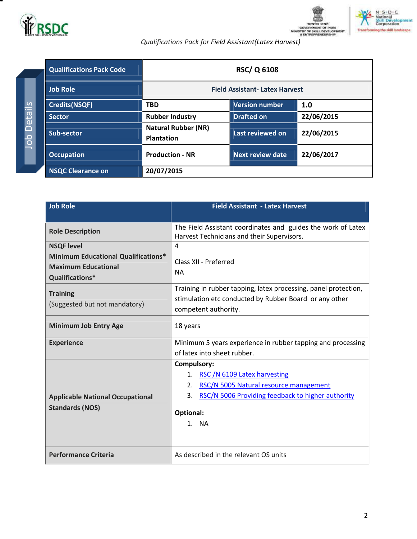

т

Job Details

Job Details





*Qualifications Pack for Field Assistant(Latex Harvest)*

| <b>Qualifications Pack Code</b> |                                                 | <b>RSC/Q 6108</b>     |            |
|---------------------------------|-------------------------------------------------|-----------------------|------------|
| <b>Job Role</b>                 | <b>Field Assistant-Latex Harvest</b>            |                       |            |
| <b>Credits(NSQF)</b>            | <b>TBD</b>                                      | <b>Version number</b> | 1.0        |
| <b>Sector</b>                   | <b>Rubber Industry</b>                          | <b>Drafted on</b>     | 22/06/2015 |
| Sub-sector                      | <b>Natural Rubber (NR)</b><br><b>Plantation</b> | Last reviewed on      | 22/06/2015 |
| <b>Occupation</b>               | <b>Production - NR</b>                          | Next review date      | 22/06/2017 |
| <b>NSQC Clearance on</b>        | 20/07/2015                                      |                       |            |

<span id="page-1-0"></span>

| <b>Job Role</b>                                                                             | <b>Field Assistant - Latex Harvest</b>                                                                                                            |  |  |
|---------------------------------------------------------------------------------------------|---------------------------------------------------------------------------------------------------------------------------------------------------|--|--|
|                                                                                             |                                                                                                                                                   |  |  |
| <b>Role Description</b>                                                                     | The Field Assistant coordinates and guides the work of Latex<br>Harvest Technicians and their Supervisors.                                        |  |  |
| <b>NSQF level</b>                                                                           | $\overline{a}$                                                                                                                                    |  |  |
| <b>Minimum Educational Qualifications*</b><br><b>Maximum Educational</b><br>Qualifications* | Class XII - Preferred<br><b>NA</b>                                                                                                                |  |  |
| <b>Training</b><br>(Suggested but not mandatory)                                            | Training in rubber tapping, latex processing, panel protection,<br>stimulation etc conducted by Rubber Board or any other<br>competent authority. |  |  |
| <b>Minimum Job Entry Age</b>                                                                | 18 years                                                                                                                                          |  |  |
| <b>Experience</b>                                                                           | Minimum 5 years experience in rubber tapping and processing                                                                                       |  |  |
|                                                                                             | of latex into sheet rubber.                                                                                                                       |  |  |
|                                                                                             | <b>Compulsory:</b>                                                                                                                                |  |  |
|                                                                                             | 1. RSC /N 6109 Latex harvesting                                                                                                                   |  |  |
|                                                                                             | RSC/N 5005 Natural resource management<br>2.                                                                                                      |  |  |
| <b>Applicable National Occupational</b>                                                     | RSC/N 5006 Providing feedback to higher authority<br>3.                                                                                           |  |  |
| <b>Standards (NOS)</b>                                                                      | Optional:<br>1. NA                                                                                                                                |  |  |
|                                                                                             |                                                                                                                                                   |  |  |
| <b>Performance Criteria</b>                                                                 | As described in the relevant OS units                                                                                                             |  |  |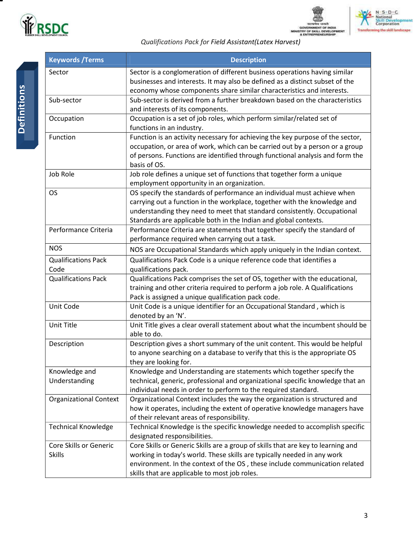

GOVERNMENT OF INDIA<br>MINISTRY OF SKILL DEVELOPMENT<br>& ENTREPRENEURSHIP



*Qualifications Pack for Field Assistant(Latex Harvest)*

| <b>Keywords / Terms</b>                 | <b>Description</b>                                                                                                                                                                                                                                                                                   |
|-----------------------------------------|------------------------------------------------------------------------------------------------------------------------------------------------------------------------------------------------------------------------------------------------------------------------------------------------------|
| Sector                                  | Sector is a conglomeration of different business operations having similar<br>businesses and interests. It may also be defined as a distinct subset of the<br>economy whose components share similar characteristics and interests.                                                                  |
| Sub-sector                              | Sub-sector is derived from a further breakdown based on the characteristics<br>and interests of its components.                                                                                                                                                                                      |
| Occupation                              | Occupation is a set of job roles, which perform similar/related set of<br>functions in an industry.                                                                                                                                                                                                  |
| Function                                | Function is an activity necessary for achieving the key purpose of the sector,<br>occupation, or area of work, which can be carried out by a person or a group<br>of persons. Functions are identified through functional analysis and form the<br>basis of OS.                                      |
| Job Role                                | Job role defines a unique set of functions that together form a unique<br>employment opportunity in an organization.                                                                                                                                                                                 |
| <b>OS</b>                               | OS specify the standards of performance an individual must achieve when<br>carrying out a function in the workplace, together with the knowledge and<br>understanding they need to meet that standard consistently. Occupational<br>Standards are applicable both in the Indian and global contexts. |
| Performance Criteria                    | Performance Criteria are statements that together specify the standard of<br>performance required when carrying out a task.                                                                                                                                                                          |
| <b>NOS</b>                              | NOS are Occupational Standards which apply uniquely in the Indian context.                                                                                                                                                                                                                           |
| <b>Qualifications Pack</b><br>Code      | Qualifications Pack Code is a unique reference code that identifies a<br>qualifications pack.                                                                                                                                                                                                        |
| <b>Qualifications Pack</b>              | Qualifications Pack comprises the set of OS, together with the educational,<br>training and other criteria required to perform a job role. A Qualifications<br>Pack is assigned a unique qualification pack code.                                                                                    |
| Unit Code                               | Unit Code is a unique identifier for an Occupational Standard, which is<br>denoted by an 'N'.                                                                                                                                                                                                        |
| Unit Title                              | Unit Title gives a clear overall statement about what the incumbent should be<br>able to do.                                                                                                                                                                                                         |
| Description                             | Description gives a short summary of the unit content. This would be helpful<br>to anyone searching on a database to verify that this is the appropriate OS<br>they are looking for.                                                                                                                 |
| Knowledge and<br>Understanding          | Knowledge and Understanding are statements which together specify the<br>technical, generic, professional and organizational specific knowledge that an<br>individual needs in order to perform to the required standard.                                                                            |
| <b>Organizational Context</b>           | Organizational Context includes the way the organization is structured and<br>how it operates, including the extent of operative knowledge managers have<br>of their relevant areas of responsibility.                                                                                               |
| <b>Technical Knowledge</b>              | Technical Knowledge is the specific knowledge needed to accomplish specific<br>designated responsibilities.                                                                                                                                                                                          |
| Core Skills or Generic<br><b>Skills</b> | Core Skills or Generic Skills are a group of skills that are key to learning and<br>working in today's world. These skills are typically needed in any work<br>environment. In the context of the OS, these include communication related<br>skills that are applicable to most job roles.           |

Ξ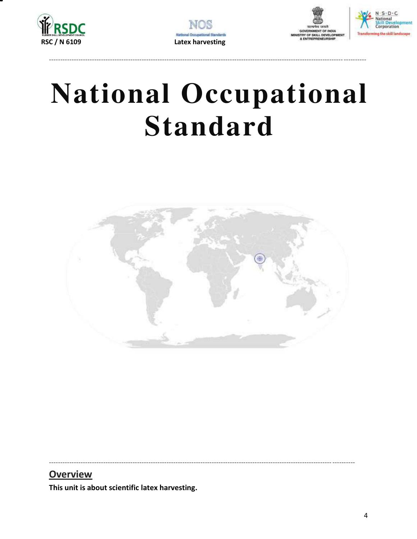







# **National Occupational Standard**



### **Overview**

<span id="page-3-0"></span>This unit is about scientific latex harvesting.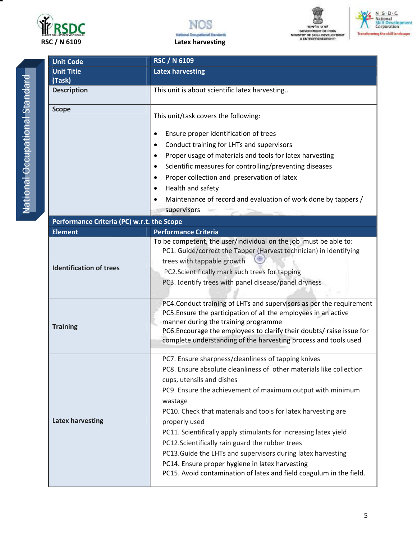







National Occupational Standard National Occupational Standard

| <b>RSC / N 6109</b><br><b>Unit Code</b>    |                                                                                                                                                                                                                                                                                                                                                                                                                                                                                                                                                                                                                                     |
|--------------------------------------------|-------------------------------------------------------------------------------------------------------------------------------------------------------------------------------------------------------------------------------------------------------------------------------------------------------------------------------------------------------------------------------------------------------------------------------------------------------------------------------------------------------------------------------------------------------------------------------------------------------------------------------------|
| <b>Unit Title</b>                          | <b>Latex harvesting</b>                                                                                                                                                                                                                                                                                                                                                                                                                                                                                                                                                                                                             |
| (Task)                                     |                                                                                                                                                                                                                                                                                                                                                                                                                                                                                                                                                                                                                                     |
| <b>Description</b>                         | This unit is about scientific latex harvesting                                                                                                                                                                                                                                                                                                                                                                                                                                                                                                                                                                                      |
| <b>Scope</b>                               | This unit/task covers the following:                                                                                                                                                                                                                                                                                                                                                                                                                                                                                                                                                                                                |
|                                            | Ensure proper identification of trees<br>$\bullet$                                                                                                                                                                                                                                                                                                                                                                                                                                                                                                                                                                                  |
|                                            | Conduct training for LHTs and supervisors<br>$\bullet$                                                                                                                                                                                                                                                                                                                                                                                                                                                                                                                                                                              |
|                                            | Proper usage of materials and tools for latex harvesting<br>٠                                                                                                                                                                                                                                                                                                                                                                                                                                                                                                                                                                       |
|                                            | Scientific measures for controlling/preventing diseases<br>$\bullet$                                                                                                                                                                                                                                                                                                                                                                                                                                                                                                                                                                |
|                                            | Proper collection and preservation of latex<br>$\bullet$                                                                                                                                                                                                                                                                                                                                                                                                                                                                                                                                                                            |
|                                            | Health and safety<br>$\bullet$                                                                                                                                                                                                                                                                                                                                                                                                                                                                                                                                                                                                      |
|                                            | Maintenance of record and evaluation of work done by tappers /                                                                                                                                                                                                                                                                                                                                                                                                                                                                                                                                                                      |
|                                            | supervisors                                                                                                                                                                                                                                                                                                                                                                                                                                                                                                                                                                                                                         |
| Performance Criteria (PC) w.r.t. the Scope |                                                                                                                                                                                                                                                                                                                                                                                                                                                                                                                                                                                                                                     |
| <b>Element</b>                             | <b>Performance Criteria</b>                                                                                                                                                                                                                                                                                                                                                                                                                                                                                                                                                                                                         |
| <b>Identification of trees</b>             | To be competent, the user/individual on the job must be able to:<br>PC1. Guide/correct the Tapper (Harvest technician) in identifying<br>trees with tappable growth<br>PC2.Scientifically mark such trees for tapping<br>PC3. Identify trees with panel disease/panel dryness<br>PC4. Conduct training of LHTs and supervisors as per the requirement                                                                                                                                                                                                                                                                               |
| <b>Training</b>                            | PC5. Ensure the participation of all the employees in an active<br>manner during the training programme<br>PC6. Encourage the employees to clarify their doubts/ raise issue for<br>complete understanding of the harvesting process and tools used                                                                                                                                                                                                                                                                                                                                                                                 |
| <b>Latex harvesting</b>                    | PC7. Ensure sharpness/cleanliness of tapping knives<br>PC8. Ensure absolute cleanliness of other materials like collection<br>cups, utensils and dishes<br>PC9. Ensure the achievement of maximum output with minimum<br>wastage<br>PC10. Check that materials and tools for latex harvesting are<br>properly used<br>PC11. Scientifically apply stimulants for increasing latex yield<br>PC12.Scientifically rain guard the rubber trees<br>PC13. Guide the LHTs and supervisors during latex harvesting<br>PC14. Ensure proper hygiene in latex harvesting<br>PC15. Avoid contamination of latex and field coagulum in the field. |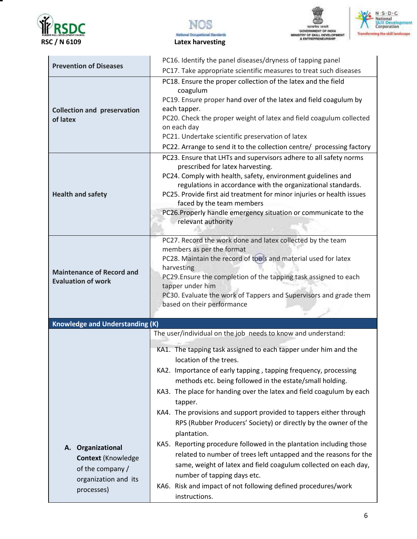







| <b>Prevention of Diseases</b>                                                                               | PC16. Identify the panel diseases/dryness of tapping panel<br>PC17. Take appropriate scientific measures to treat such diseases                                                                                                                                                                                                                                                                                                                                                                                                                                                                                                                                                                                                                                                                                                                   |  |  |
|-------------------------------------------------------------------------------------------------------------|---------------------------------------------------------------------------------------------------------------------------------------------------------------------------------------------------------------------------------------------------------------------------------------------------------------------------------------------------------------------------------------------------------------------------------------------------------------------------------------------------------------------------------------------------------------------------------------------------------------------------------------------------------------------------------------------------------------------------------------------------------------------------------------------------------------------------------------------------|--|--|
| <b>Collection and preservation</b><br>of latex                                                              | PC18. Ensure the proper collection of the latex and the field<br>coagulum<br>PC19. Ensure proper hand over of the latex and field coagulum by<br>each tapper.<br>PC20. Check the proper weight of latex and field coagulum collected<br>on each day<br>PC21. Undertake scientific preservation of latex<br>PC22. Arrange to send it to the collection centre/ processing factory                                                                                                                                                                                                                                                                                                                                                                                                                                                                  |  |  |
| <b>Health and safety</b>                                                                                    | PC23. Ensure that LHTs and supervisors adhere to all safety norms<br>prescribed for latex harvesting.<br>PC24. Comply with health, safety, environment guidelines and<br>regulations in accordance with the organizational standards.<br>PC25. Provide first aid treatment for minor injuries or health issues<br>faced by the team members<br>PC26. Properly handle emergency situation or communicate to the<br>relevant authority                                                                                                                                                                                                                                                                                                                                                                                                              |  |  |
| <b>Maintenance of Record and</b><br><b>Evaluation of work</b>                                               | PC27. Record the work done and latex collected by the team<br>members as per the format<br>PC28. Maintain the record of tools and material used for latex<br>harvesting<br>PC29. Ensure the completion of the tapping task assigned to each<br>tapper under him<br>PC30. Evaluate the work of Tappers and Supervisors and grade them<br>based on their performance                                                                                                                                                                                                                                                                                                                                                                                                                                                                                |  |  |
| <b>Knowledge and Understanding (K)</b>                                                                      |                                                                                                                                                                                                                                                                                                                                                                                                                                                                                                                                                                                                                                                                                                                                                                                                                                                   |  |  |
| Organizational<br>А.<br><b>Context (Knowledge</b><br>of the company /<br>organization and its<br>processes) | The user/individual on the job needs to know and understand:<br>KA1. The tapping task assigned to each tapper under him and the<br>location of the trees.<br>KA2. Importance of early tapping, tapping frequency, processing<br>methods etc. being followed in the estate/small holding.<br>KA3. The place for handing over the latex and field coagulum by each<br>tapper.<br>KA4. The provisions and support provided to tappers either through<br>RPS (Rubber Producers' Society) or directly by the owner of the<br>plantation.<br>KA5. Reporting procedure followed in the plantation including those<br>related to number of trees left untapped and the reasons for the<br>same, weight of latex and field coagulum collected on each day,<br>number of tapping days etc.<br>KA6. Risk and impact of not following defined procedures/work |  |  |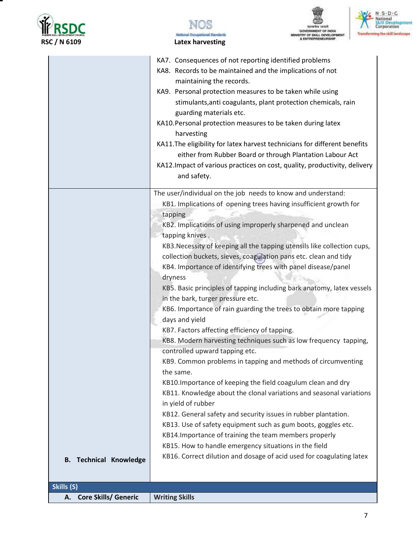







|                                   | KA7. Consequences of not reporting identified problems                                                                                       |
|-----------------------------------|----------------------------------------------------------------------------------------------------------------------------------------------|
|                                   | KA8. Records to be maintained and the implications of not                                                                                    |
|                                   | maintaining the records.                                                                                                                     |
|                                   | KA9. Personal protection measures to be taken while using<br>stimulants, anti coagulants, plant protection chemicals, rain                   |
|                                   | guarding materials etc.                                                                                                                      |
|                                   | KA10. Personal protection measures to be taken during latex                                                                                  |
|                                   | harvesting                                                                                                                                   |
|                                   | KA11. The eligibility for latex harvest technicians for different benefits                                                                   |
|                                   | either from Rubber Board or through Plantation Labour Act                                                                                    |
|                                   | KA12. Impact of various practices on cost, quality, productivity, delivery                                                                   |
|                                   | and safety.                                                                                                                                  |
|                                   | The user/individual on the job needs to know and understand:                                                                                 |
|                                   | KB1. Implications of opening trees having insufficient growth for                                                                            |
|                                   | tapping                                                                                                                                      |
|                                   | KB2. Implications of using improperly sharpened and unclean                                                                                  |
|                                   | tapping knives.                                                                                                                              |
|                                   | KB3. Necessity of keeping all the tapping utensils like collection cups,<br>collection buckets, sieves, coagulation pans etc. clean and tidy |
|                                   | KB4. Importance of identifying trees with panel disease/panel                                                                                |
|                                   | dryness                                                                                                                                      |
|                                   | KB5. Basic principles of tapping including bark anatomy, latex vessels                                                                       |
|                                   | in the bark, turger pressure etc.                                                                                                            |
|                                   | KB6. Importance of rain guarding the trees to obtain more tapping                                                                            |
|                                   | days and yield                                                                                                                               |
|                                   | KB7. Factors affecting efficiency of tapping.                                                                                                |
|                                   | KB8. Modern harvesting techniques such as low frequency tapping,                                                                             |
|                                   | controlled upward tapping etc.                                                                                                               |
|                                   | KB9. Common problems in tapping and methods of circumventing                                                                                 |
|                                   | the same.                                                                                                                                    |
|                                   | KB10. Importance of keeping the field coagulum clean and dry                                                                                 |
|                                   | KB11. Knowledge about the clonal variations and seasonal variations<br>in yield of rubber                                                    |
|                                   | KB12. General safety and security issues in rubber plantation.                                                                               |
|                                   | KB13. Use of safety equipment such as gum boots, goggles etc.                                                                                |
|                                   | KB14. Importance of training the team members properly                                                                                       |
|                                   | KB15. How to handle emergency situations in the field                                                                                        |
| <b>B. Technical Knowledge</b>     | KB16. Correct dilution and dosage of acid used for coagulating latex                                                                         |
|                                   |                                                                                                                                              |
|                                   |                                                                                                                                              |
| Skills (S)                        |                                                                                                                                              |
| <b>Core Skills/ Generic</b><br>А. | <b>Writing Skills</b>                                                                                                                        |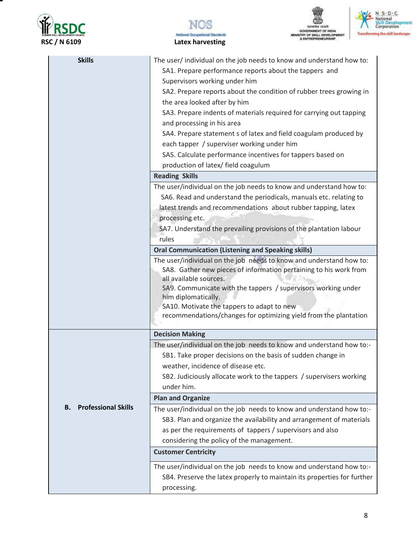







| <b>Skills</b>                    | The user/ individual on the job needs to know and understand how to:                        |
|----------------------------------|---------------------------------------------------------------------------------------------|
|                                  | SA1. Prepare performance reports about the tappers and                                      |
|                                  | Supervisors working under him                                                               |
|                                  | SA2. Prepare reports about the condition of rubber trees growing in                         |
|                                  | the area looked after by him                                                                |
|                                  | SA3. Prepare indents of materials required for carrying out tapping                         |
|                                  | and processing in his area                                                                  |
|                                  | SA4. Prepare statement s of latex and field coagulam produced by                            |
|                                  | each tapper / superviser working under him                                                  |
|                                  | SA5. Calculate performance incentives for tappers based on                                  |
|                                  | production of latex/ field coagulum                                                         |
|                                  | <b>Reading Skills</b>                                                                       |
|                                  | The user/individual on the job needs to know and understand how to:                         |
|                                  | SA6. Read and understand the periodicals, manuals etc. relating to                          |
|                                  | latest trends and recommendations about rubber tapping, latex                               |
|                                  | processing etc.                                                                             |
|                                  | SA7. Understand the prevailing provisions of the plantation labour                          |
|                                  | rules                                                                                       |
|                                  | <b>Oral Communication (Listening and Speaking skills)</b>                                   |
|                                  | The user/individual on the job needs to know and understand how to:                         |
|                                  | SA8. Gather new pieces of information pertaining to his work from<br>all available sources. |
|                                  | SA9. Communicate with the tappers / supervisors working under                               |
|                                  | him diplomatically.                                                                         |
|                                  | SA10. Motivate the tappers to adapt to new                                                  |
|                                  | recommendations/changes for optimizing yield from the plantation                            |
|                                  |                                                                                             |
|                                  | <b>Decision Making</b>                                                                      |
|                                  | The user/individual on the job needs to know and understand how to:-                        |
|                                  | SB1. Take proper decisions on the basis of sudden change in                                 |
|                                  | weather, incidence of disease etc.                                                          |
|                                  | SB2. Judiciously allocate work to the tappers / supervisers working                         |
|                                  | under him.                                                                                  |
|                                  | <b>Plan and Organize</b>                                                                    |
| <b>Professional Skills</b><br>В. | The user/individual on the job needs to know and understand how to:-                        |
|                                  | SB3. Plan and organize the availability and arrangement of materials                        |
|                                  | as per the requirements of tappers / supervisors and also                                   |
|                                  | considering the policy of the management.                                                   |
|                                  | <b>Customer Centricity</b>                                                                  |
|                                  | The user/individual on the job needs to know and understand how to:-                        |
|                                  | SB4. Preserve the latex properly to maintain its properties for further                     |
|                                  | processing.                                                                                 |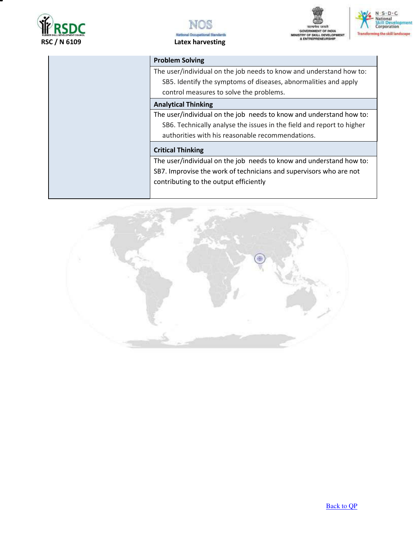







#### **Problem Solving**

The user/individual on the job needs to know and understand how to: SB5. Identify the symptoms of diseases, abnormalities and apply control measures to solve the problems.

#### **Analytical Thinking**

The user/individual on the job needs to know and understand how to: SB6. Technically analyse the issues in the field and report to higher authorities with his reasonable recommendations.

#### **Critical Thinking**

The user/individual on the job needs to know and understand how to: SB7. Improvise the work of technicians and supervisors who are not contributing to the output efficiently

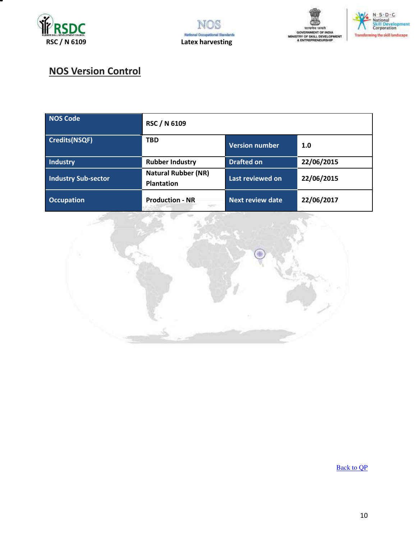







# **NOS Version Control**

| <b>NOS Code</b>            | RSC / N 6109                                    |                       |            |
|----------------------------|-------------------------------------------------|-----------------------|------------|
| Credits(NSQF)              | <b>TBD</b>                                      | <b>Version number</b> | 1.0        |
| Industry                   | <b>Rubber Industry</b>                          | <b>Drafted on</b>     | 22/06/2015 |
| <b>Industry Sub-sector</b> | <b>Natural Rubber (NR)</b><br><b>Plantation</b> | Last reviewed on      | 22/06/2015 |
| <b>Occupation</b>          | <b>Production - NR</b>                          | Next review date      | 22/06/2017 |



[Back to QP](#page-1-0)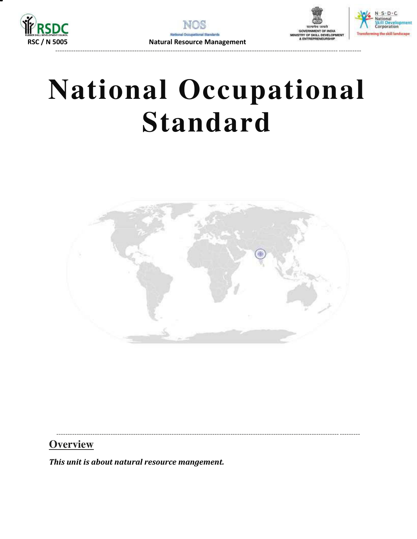





# **National Occupational Standard**



**Overview** 

<span id="page-10-0"></span>This unit is about natural resource mangement.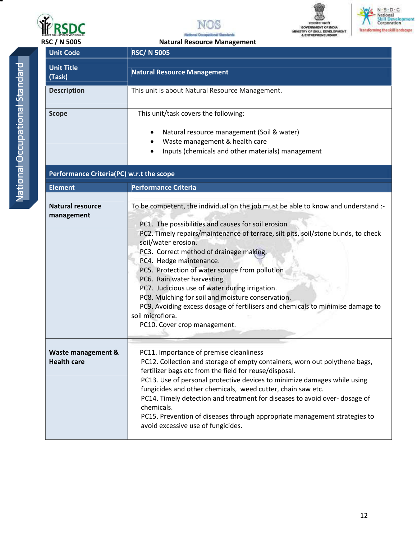

**Unit Code** RSC/ N 5005







|   | ì      |
|---|--------|
|   |        |
|   | î      |
|   | ì      |
|   | ì      |
|   | ï      |
|   |        |
|   |        |
|   |        |
|   |        |
|   |        |
|   | I      |
|   | j      |
|   |        |
|   | I      |
|   |        |
|   |        |
|   |        |
|   |        |
|   |        |
|   | ı      |
|   | I<br>I |
|   | I      |
|   |        |
| I |        |
|   |        |
|   | I      |
|   |        |
|   |        |
|   |        |
|   |        |
|   |        |
|   |        |
|   |        |
|   |        |
|   |        |
|   |        |

| <b>Unit Title</b><br>(Task)              | <b>Natural Resource Management</b>                                                                                                                                                                                                                                                                                                                                                                                                                                                                                                                                                                                                                      |
|------------------------------------------|---------------------------------------------------------------------------------------------------------------------------------------------------------------------------------------------------------------------------------------------------------------------------------------------------------------------------------------------------------------------------------------------------------------------------------------------------------------------------------------------------------------------------------------------------------------------------------------------------------------------------------------------------------|
| <b>Description</b>                       | This unit is about Natural Resource Management.                                                                                                                                                                                                                                                                                                                                                                                                                                                                                                                                                                                                         |
| <b>Scope</b>                             | This unit/task covers the following:<br>Natural resource management (Soil & water)<br>Waste management & health care<br>$\bullet$<br>Inputs (chemicals and other materials) management                                                                                                                                                                                                                                                                                                                                                                                                                                                                  |
| Performance Criteria(PC) w.r.t the scope |                                                                                                                                                                                                                                                                                                                                                                                                                                                                                                                                                                                                                                                         |
| <b>Element</b>                           | <b>Performance Criteria</b>                                                                                                                                                                                                                                                                                                                                                                                                                                                                                                                                                                                                                             |
| <b>Natural resource</b><br>management    | To be competent, the individual on the job must be able to know and understand :-<br>PC1. The possibilities and causes for soil erosion<br>PC2. Timely repairs/maintenance of terrace, silt pits, soil/stone bunds, to check<br>soil/water erosion.<br>PC3. Correct method of drainage making.<br>PC4. Hedge maintenance.<br>PC5. Protection of water source from pollution<br>PC6. Rain water harvesting.<br>PC7. Judicious use of water during irrigation.<br>PC8. Mulching for soil and moisture conservation.<br>PC9. Avoiding excess dosage of fertilisers and chemicals to minimise damage to<br>soil microflora.<br>PC10. Cover crop management. |
| Waste management &<br><b>Health care</b> | PC11. Importance of premise cleanliness<br>PC12. Collection and storage of empty containers, worn out polythene bags,<br>fertilizer bags etc from the field for reuse/disposal.<br>PC13. Use of personal protective devices to minimize damages while using<br>fungicides and other chemicals, weed cutter, chain saw etc.<br>PC14. Timely detection and treatment for diseases to avoid over- dosage of<br>chemicals.<br>PC15. Prevention of diseases through appropriate management strategies to<br>avoid excessive use of fungicides.                                                                                                               |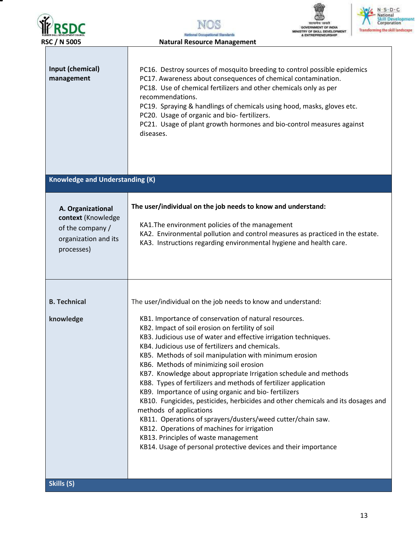| <b>RUBBER SKILL DEVELOPMENT COUNCIL</b> |  |
|-----------------------------------------|--|
| RSC / N 5005                            |  |

NOS *<u><b>Natural Designational Stanfarts</u>*<br>**Ractural Resource Management**</u>





| Input (chemical)<br>management                                                                    | PC16. Destroy sources of mosquito breeding to control possible epidemics<br>PC17. Awareness about consequences of chemical contamination.<br>PC18. Use of chemical fertilizers and other chemicals only as per<br>recommendations.<br>PC19. Spraying & handlings of chemicals using hood, masks, gloves etc.<br>PC20. Usage of organic and bio-fertilizers.<br>PC21. Usage of plant growth hormones and bio-control measures against<br>diseases.                                                                                                                                                                                                                                                                                                                                                                                                                                                                                             |
|---------------------------------------------------------------------------------------------------|-----------------------------------------------------------------------------------------------------------------------------------------------------------------------------------------------------------------------------------------------------------------------------------------------------------------------------------------------------------------------------------------------------------------------------------------------------------------------------------------------------------------------------------------------------------------------------------------------------------------------------------------------------------------------------------------------------------------------------------------------------------------------------------------------------------------------------------------------------------------------------------------------------------------------------------------------|
| <b>Knowledge and Understanding (K)</b>                                                            |                                                                                                                                                                                                                                                                                                                                                                                                                                                                                                                                                                                                                                                                                                                                                                                                                                                                                                                                               |
| A. Organizational<br>context (Knowledge<br>of the company /<br>organization and its<br>processes) | The user/individual on the job needs to know and understand:<br>KA1. The environment policies of the management<br>KA2. Environmental pollution and control measures as practiced in the estate.<br>KA3. Instructions regarding environmental hygiene and health care.                                                                                                                                                                                                                                                                                                                                                                                                                                                                                                                                                                                                                                                                        |
| <b>B. Technical</b><br>knowledge<br>Skills (S)                                                    | The user/individual on the job needs to know and understand:<br>KB1. Importance of conservation of natural resources.<br>KB2. Impact of soil erosion on fertility of soil<br>KB3. Judicious use of water and effective irrigation techniques.<br>KB4. Judicious use of fertilizers and chemicals.<br>KB5. Methods of soil manipulation with minimum erosion<br>KB6. Methods of minimizing soil erosion<br>KB7. Knowledge about appropriate Irrigation schedule and methods<br>KB8. Types of fertilizers and methods of fertilizer application<br>KB9. Importance of using organic and bio-fertilizers<br>KB10. Fungicides, pesticides, herbicides and other chemicals and its dosages and<br>methods of applications<br>KB11. Operations of sprayers/dusters/weed cutter/chain saw.<br>KB12. Operations of machines for irrigation<br>KB13. Principles of waste management<br>KB14. Usage of personal protective devices and their importance |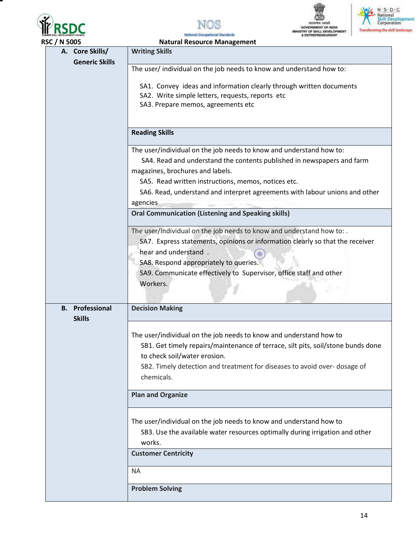







Na sai Standards al Occupat

|               | <b>RSC / N 5005</b>    | <b>Natural Resource Management</b>                                                                    |  |  |  |  |
|---------------|------------------------|-------------------------------------------------------------------------------------------------------|--|--|--|--|
|               | A. Core Skills/        | <b>Writing Skills</b>                                                                                 |  |  |  |  |
|               | <b>Generic Skills</b>  | The user/ individual on the job needs to know and understand how to:                                  |  |  |  |  |
|               |                        |                                                                                                       |  |  |  |  |
|               |                        | SA1. Convey ideas and information clearly through written documents                                   |  |  |  |  |
|               |                        | SA2. Write simple letters, requests, reports etc<br>SA3. Prepare memos, agreements etc                |  |  |  |  |
|               |                        |                                                                                                       |  |  |  |  |
|               |                        | <b>Reading Skills</b>                                                                                 |  |  |  |  |
|               |                        |                                                                                                       |  |  |  |  |
|               |                        | The user/individual on the job needs to know and understand how to:                                   |  |  |  |  |
|               |                        | SA4. Read and understand the contents published in newspapers and farm                                |  |  |  |  |
|               |                        | magazines, brochures and labels.                                                                      |  |  |  |  |
|               |                        | SA5. Read written instructions, memos, notices etc.                                                   |  |  |  |  |
|               |                        | SA6. Read, understand and interpret agreements with labour unions and other<br>agencies               |  |  |  |  |
|               |                        | <b>Oral Communication (Listening and Speaking skills)</b>                                             |  |  |  |  |
|               |                        | The user/individual on the job needs to know and understand how to: .                                 |  |  |  |  |
|               |                        | SA7. Express statements, opinions or information clearly so that the receiver<br>hear and understand. |  |  |  |  |
|               |                        | SA8. Respond appropriately to queries.                                                                |  |  |  |  |
|               |                        | SA9. Communicate effectively to Supervisor, office staff and other                                    |  |  |  |  |
|               |                        | Workers.                                                                                              |  |  |  |  |
|               |                        |                                                                                                       |  |  |  |  |
|               | <b>B.</b> Professional | <b>Decision Making</b>                                                                                |  |  |  |  |
| <b>Skills</b> |                        |                                                                                                       |  |  |  |  |
|               |                        | The user/individual on the job needs to know and understand how to                                    |  |  |  |  |
|               |                        | SB1. Get timely repairs/maintenance of terrace, silt pits, soil/stone bunds done                      |  |  |  |  |
|               |                        | to check soil/water erosion.                                                                          |  |  |  |  |
|               |                        | SB2. Timely detection and treatment for diseases to avoid over-dosage of                              |  |  |  |  |
|               |                        | chemicals.                                                                                            |  |  |  |  |
|               |                        | <b>Plan and Organize</b>                                                                              |  |  |  |  |
|               |                        | The user/individual on the job needs to know and understand how to                                    |  |  |  |  |
|               |                        | SB3. Use the available water resources optimally during irrigation and other                          |  |  |  |  |
|               |                        | works.                                                                                                |  |  |  |  |
|               |                        | <b>Customer Centricity</b>                                                                            |  |  |  |  |
|               |                        | ΝA                                                                                                    |  |  |  |  |
|               |                        | <b>Problem Solving</b>                                                                                |  |  |  |  |
|               |                        |                                                                                                       |  |  |  |  |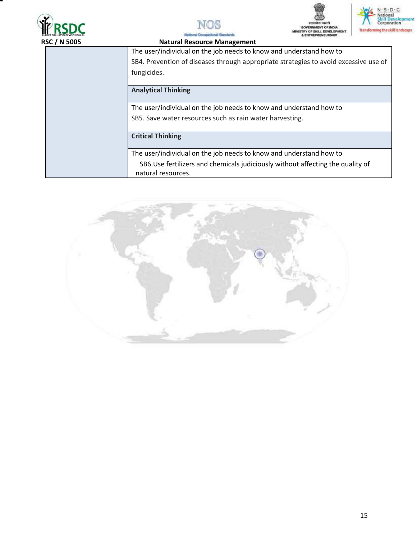







MINISTRY OF SIGLL DEVELOPS **RSC / N 5005****Natural Resource Management** The user/individual on the job needs to know and understand how to SB4. Prevention of diseases through appropriate strategies to avoid excessive use of fungicides. **Analytical Thinking**  The user/individual on the job needs to know and understand how to SB5. Save water resources such as rain water harvesting. **Critical Thinking**  The user/individual on the job needs to know and understand how to SB6.Use fertilizers and chemicals judiciously without affecting the quality of natural resources.

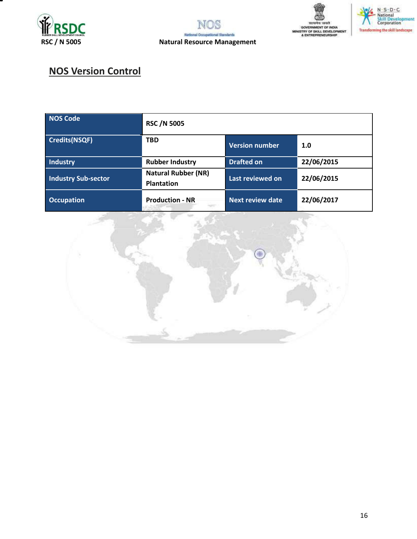







# **NOS Version Control**

| NOS Code                   | <b>RSC /N 5005</b>                              |                         |            |
|----------------------------|-------------------------------------------------|-------------------------|------------|
| Credits(NSQF)              | <b>TBD</b>                                      | <b>Version number</b>   | 1.0        |
| Industry                   | <b>Rubber Industry</b>                          | <b>Drafted on</b>       | 22/06/2015 |
| <b>Industry Sub-sector</b> | <b>Natural Rubber (NR)</b><br><b>Plantation</b> | Last reviewed on        | 22/06/2015 |
| <b>Occupation</b>          | <b>Production - NR</b>                          | <b>Next review date</b> | 22/06/2017 |

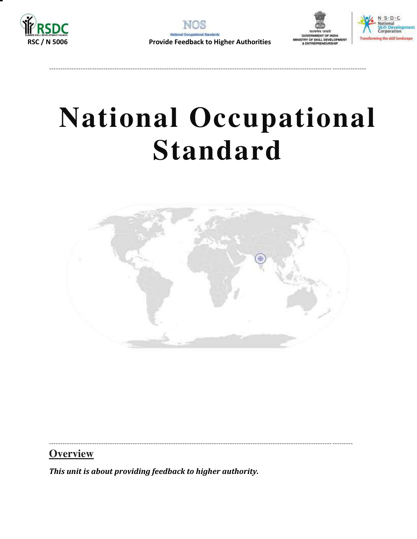

----------------------------------------------------------------------------------------------------------------------------- ---------------





# **National Occupational Standard**



----------------------------------------------------------------------------------------------------------------------------- ---------

**Overview** 

<span id="page-16-0"></span>*This unit is about providing feedback to higher authority.*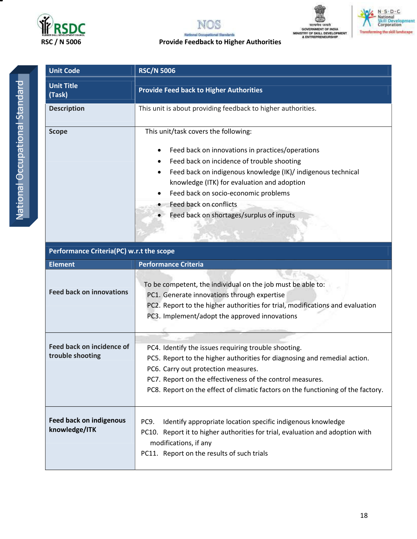

### NOS **RADICA SKL OCCUPACT CONCERNATION AND RESC / N 5006**<br> **RSC / N 5006 Provide Feedback to Higher Authorities** nai Sta





| <b>Unit Code</b>            | <b>RSC/N 5006</b>                                                                                                                                                                                                                                                                                                                                                                          |  |  |
|-----------------------------|--------------------------------------------------------------------------------------------------------------------------------------------------------------------------------------------------------------------------------------------------------------------------------------------------------------------------------------------------------------------------------------------|--|--|
| <b>Unit Title</b><br>(Task) | <b>Provide Feed back to Higher Authorities</b>                                                                                                                                                                                                                                                                                                                                             |  |  |
| <b>Description</b>          | This unit is about providing feedback to higher authorities.                                                                                                                                                                                                                                                                                                                               |  |  |
| <b>Scope</b>                | This unit/task covers the following:<br>Feed back on innovations in practices/operations<br>٠<br>Feed back on incidence of trouble shooting<br>Feed back on indigenous knowledge (IK)/ indigenous technical<br>$\bullet$<br>knowledge (ITK) for evaluation and adoption<br>Feed back on socio-economic problems<br>٠<br>Feed back on conflicts<br>Feed back on shortages/surplus of inputs |  |  |

| Performance Criteria(PC) w.r.t the scope        |                                                                                                                                                                                                                                                                                                                           |  |
|-------------------------------------------------|---------------------------------------------------------------------------------------------------------------------------------------------------------------------------------------------------------------------------------------------------------------------------------------------------------------------------|--|
| <b>Element</b>                                  | <b>Performance Criteria</b>                                                                                                                                                                                                                                                                                               |  |
| <b>Feed back on innovations</b>                 | To be competent, the individual on the job must be able to:<br>PC1. Generate innovations through expertise<br>PC2. Report to the higher authorities for trial, modifications and evaluation<br>PC3. Implement/adopt the approved innovations                                                                              |  |
| Feed back on incidence of<br>trouble shooting   | PC4. Identify the issues requiring trouble shooting.<br>PC5. Report to the higher authorities for diagnosing and remedial action.<br>PC6. Carry out protection measures.<br>PC7. Report on the effectiveness of the control measures.<br>PC8. Report on the effect of climatic factors on the functioning of the factory. |  |
| <b>Feed back on indigenous</b><br>knowledge/ITK | PC9.<br>Identify appropriate location specific indigenous knowledge<br>PC10. Report it to higher authorities for trial, evaluation and adoption with<br>modifications, if any<br>PC11. Report on the results of such trials                                                                                               |  |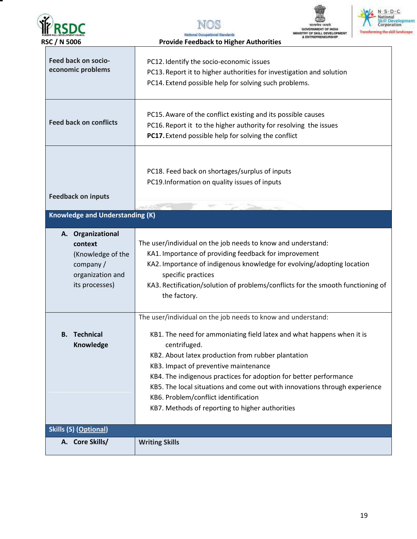| <b>RSC / N 5006</b>                     | <b>Provide Feedback to Higher Authorities</b> |
|-----------------------------------------|-----------------------------------------------|
| <b>RUBBER SKILL DEVELOPMENT COUNCIL</b> | tional Occupational Standards                 |
| <b>WRSDC</b>                            | NOS                                           |
|                                         |                                               |
|                                         |                                               |





| Feed back on socio-<br>economic problems                                                             | PC12. Identify the socio-economic issues<br>PC13. Report it to higher authorities for investigation and solution<br>PC14. Extend possible help for solving such problems.                                                                                                                                                                                                                                                                                                                          |
|------------------------------------------------------------------------------------------------------|----------------------------------------------------------------------------------------------------------------------------------------------------------------------------------------------------------------------------------------------------------------------------------------------------------------------------------------------------------------------------------------------------------------------------------------------------------------------------------------------------|
| <b>Feed back on conflicts</b>                                                                        | PC15. Aware of the conflict existing and its possible causes<br>PC16. Report it to the higher authority for resolving the issues<br>PC17. Extend possible help for solving the conflict                                                                                                                                                                                                                                                                                                            |
| <b>Feedback on inputs</b>                                                                            | PC18. Feed back on shortages/surplus of inputs<br>PC19.Information on quality issues of inputs                                                                                                                                                                                                                                                                                                                                                                                                     |
| <b>Knowledge and Understanding (K)</b>                                                               |                                                                                                                                                                                                                                                                                                                                                                                                                                                                                                    |
| A. Organizational<br>context<br>(Knowledge of the<br>company /<br>organization and<br>its processes) | The user/individual on the job needs to know and understand:<br>KA1. Importance of providing feedback for improvement<br>KA2. Importance of indigenous knowledge for evolving/adopting location<br>specific practices<br>KA3. Rectification/solution of problems/conflicts for the smooth functioning of<br>the factory.                                                                                                                                                                           |
| <b>B.</b> Technical<br>Knowledge                                                                     | The user/individual on the job needs to know and understand:<br>KB1. The need for ammoniating field latex and what happens when it is<br>centrifuged.<br>KB2. About latex production from rubber plantation<br>KB3. Impact of preventive maintenance<br>KB4. The indigenous practices for adoption for better performance<br>KB5. The local situations and come out with innovations through experience<br>KB6. Problem/conflict identification<br>KB7. Methods of reporting to higher authorities |
| <b>Skills (S) (Optional)</b>                                                                         |                                                                                                                                                                                                                                                                                                                                                                                                                                                                                                    |
| A. Core Skills/                                                                                      | <b>Writing Skills</b>                                                                                                                                                                                                                                                                                                                                                                                                                                                                              |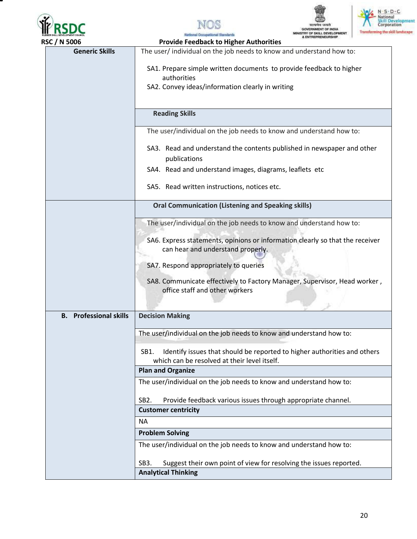







| <b>RSC / N 5006</b>           | <b><i><b><i>BULLER LABOR</i></b></i></b><br><b>Provide Feedback to Higher Authorities</b>                                        |
|-------------------------------|----------------------------------------------------------------------------------------------------------------------------------|
| <b>Generic Skills</b>         | The user/individual on the job needs to know and understand how to:                                                              |
|                               | SA1. Prepare simple written documents to provide feedback to higher                                                              |
|                               | authorities<br>SA2. Convey ideas/information clearly in writing                                                                  |
|                               |                                                                                                                                  |
|                               | <b>Reading Skills</b>                                                                                                            |
|                               | The user/individual on the job needs to know and understand how to:                                                              |
|                               | SA3. Read and understand the contents published in newspaper and other<br>publications                                           |
|                               | SA4. Read and understand images, diagrams, leaflets etc                                                                          |
|                               | SA5. Read written instructions, notices etc.                                                                                     |
|                               | <b>Oral Communication (Listening and Speaking skills)</b>                                                                        |
|                               | The user/individual on the job needs to know and understand how to:                                                              |
|                               | SA6. Express statements, opinions or information clearly so that the receiver                                                    |
|                               | can hear and understand properly.                                                                                                |
|                               | SA7. Respond appropriately to queries                                                                                            |
|                               | SA8. Communicate effectively to Factory Manager, Supervisor, Head worker,<br>office staff and other workers                      |
|                               |                                                                                                                                  |
| <b>B.</b> Professional skills | <b>Decision Making</b>                                                                                                           |
|                               | The user/individual on the job needs to know and understand how to:                                                              |
|                               | Identify issues that should be reported to higher authorities and others<br>SB1.<br>which can be resolved at their level itself. |
|                               | <b>Plan and Organize</b>                                                                                                         |
|                               | The user/individual on the job needs to know and understand how to:                                                              |
|                               | Provide feedback various issues through appropriate channel.<br>SB <sub>2</sub> .                                                |
|                               | <b>Customer centricity</b><br><b>NA</b>                                                                                          |
|                               | <b>Problem Solving</b>                                                                                                           |
|                               | The user/individual on the job needs to know and understand how to:                                                              |
|                               | SB3.                                                                                                                             |
|                               | Suggest their own point of view for resolving the issues reported.<br><b>Analytical Thinking</b>                                 |
|                               |                                                                                                                                  |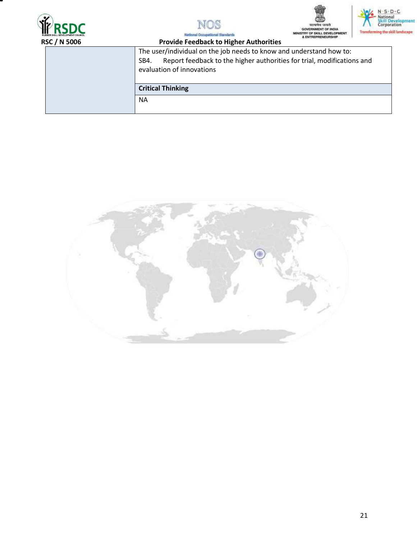







the d On

| C / N 5006 | The first control of the parties of a company that the state of the control of<br><b>Provide Feedback to Higher Authorities</b>                                                    |
|------------|------------------------------------------------------------------------------------------------------------------------------------------------------------------------------------|
|            | The user/individual on the job needs to know and understand how to:<br>Report feedback to the higher authorities for trial, modifications and<br>SB4.<br>evaluation of innovations |
|            | <b>Critical Thinking</b>                                                                                                                                                           |
|            | <b>NA</b>                                                                                                                                                                          |

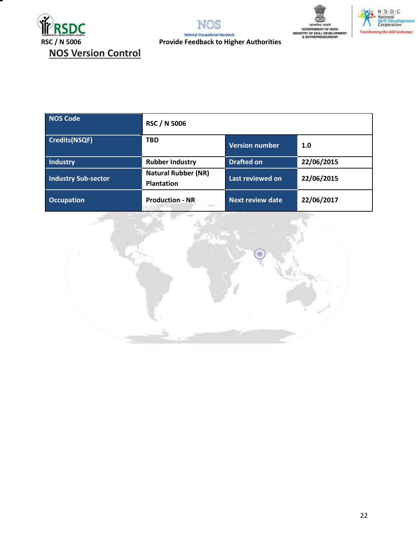







| NOS Code                   | <b>RSC / N 5006</b>                             |                         |            |
|----------------------------|-------------------------------------------------|-------------------------|------------|
| <b>Credits(NSQF)</b>       | <b>TBD</b>                                      | <b>Version number</b>   | 1.0        |
| Industry                   | <b>Rubber Industry</b>                          | <b>Drafted on</b>       | 22/06/2015 |
| <b>Industry Sub-sector</b> | <b>Natural Rubber (NR)</b><br><b>Plantation</b> | Last reviewed on        | 22/06/2015 |
| <b>Occupation</b>          | <b>Production - NR</b>                          | <b>Next review date</b> | 22/06/2017 |

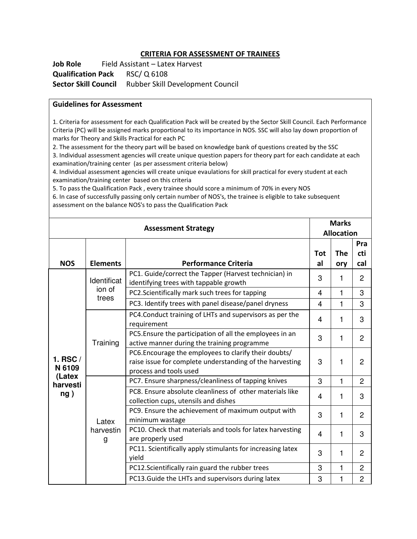#### **CRITERIA FOR ASSESSMENT OF TRAINEES**

Job Role Field Assistant – Latex Harvest **Qualification Pack** RSC/ Q 6108 **Sector Skill Council** Rubber Skill Development Council

#### **Guidelines for Assessment**

1. Criteria for assessment for each Qualification Pack will be created by the Sector Skill Council. Each Performance Criteria (PC) will be assigned marks proportional to its importance in NOS. SSC will also lay down proportion of marks for Theory and Skills Practical for each PC

2. The assessment for the theory part will be based on knowledge bank of questions created by the SSC

3. Individual assessment agencies will create unique question papers for theory part for each candidate at each examination/training center (as per assessment criteria below)

4. Individual assessment agencies will create unique evaulations for skill practical for every student at each examination/training center based on this criteria

5. To pass the Qualification Pack , every trainee should score a minimum of 70% in every NOS

6. In case of successfully passing only certain number of NOS's, the trainee is eligible to take subsequent assessment on the balance NOS's to pass the Qualification Pack

| <b>Assessment Strategy</b>                        |                         | <b>Marks</b>                                                                                                                                |                   |              |                |
|---------------------------------------------------|-------------------------|---------------------------------------------------------------------------------------------------------------------------------------------|-------------------|--------------|----------------|
|                                                   |                         |                                                                                                                                             | <b>Allocation</b> |              |                |
|                                                   |                         |                                                                                                                                             |                   |              | Pra            |
|                                                   |                         |                                                                                                                                             | Tot               | The          | cti            |
| <b>NOS</b>                                        | <b>Elements</b>         | <b>Performance Criteria</b>                                                                                                                 | al                | ory          | cal            |
|                                                   | Identificat             | PC1. Guide/correct the Tapper (Harvest technician) in<br>identifying trees with tappable growth                                             | 3                 | 1            | $\overline{2}$ |
|                                                   | ion of<br>trees         | PC2.Scientifically mark such trees for tapping                                                                                              | 4                 | $\mathbf{1}$ | 3              |
|                                                   |                         | PC3. Identify trees with panel disease/panel dryness                                                                                        | 4                 | 1            | 3              |
|                                                   |                         | PC4.Conduct training of LHTs and supervisors as per the<br>requirement                                                                      | 4                 | 1            | 3              |
| 1. RSC $/$<br>N 6109<br>(Latex<br>harvesti<br>ng) | Training                | PC5. Ensure the participation of all the employees in an<br>active manner during the training programme                                     | 3                 | $\mathbf{1}$ | $\overline{2}$ |
|                                                   |                         | PC6. Encourage the employees to clarify their doubts/<br>raise issue for complete understanding of the harvesting<br>process and tools used | 3                 | 1            | $\overline{2}$ |
|                                                   |                         | PC7. Ensure sharpness/cleanliness of tapping knives                                                                                         | 3                 | 1            | $\overline{2}$ |
|                                                   | Latex<br>harvestin<br>g | PC8. Ensure absolute cleanliness of other materials like<br>collection cups, utensils and dishes                                            | 4                 | 1            | 3              |
|                                                   |                         | PC9. Ensure the achievement of maximum output with<br>minimum wastage                                                                       | 3                 | 1            | $\overline{2}$ |
|                                                   |                         | PC10. Check that materials and tools for latex harvesting<br>are properly used                                                              | 4                 | 1            | 3              |
|                                                   |                         | PC11. Scientifically apply stimulants for increasing latex<br>yield                                                                         | 3                 | 1            | $\overline{2}$ |
|                                                   |                         | PC12.Scientifically rain guard the rubber trees                                                                                             | 3                 | 1            | $\overline{2}$ |
|                                                   |                         | PC13. Guide the LHTs and supervisors during latex                                                                                           | 3                 | 1            | $\overline{2}$ |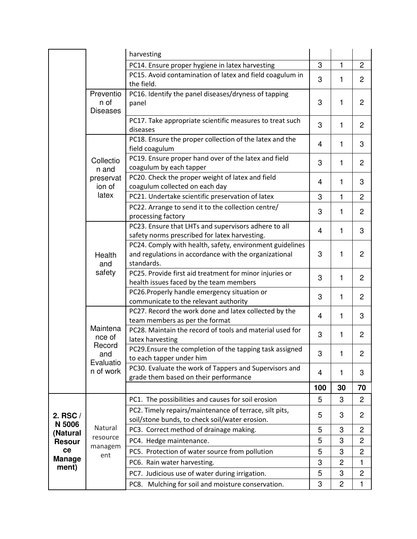|                        |                                                               | harvesting                                                                                                                      |     |                |                |
|------------------------|---------------------------------------------------------------|---------------------------------------------------------------------------------------------------------------------------------|-----|----------------|----------------|
|                        |                                                               | PC14. Ensure proper hygiene in latex harvesting                                                                                 | 3   | 1              | $\overline{c}$ |
|                        |                                                               | PC15. Avoid contamination of latex and field coagulum in<br>the field.                                                          | 3   | 1              | $\overline{2}$ |
|                        | Preventio<br>n of<br><b>Diseases</b>                          | PC16. Identify the panel diseases/dryness of tapping<br>panel                                                                   | 3   | 1              | 2              |
|                        |                                                               | PC17. Take appropriate scientific measures to treat such<br>diseases                                                            | 3   | 1              | $\overline{2}$ |
|                        |                                                               | PC18. Ensure the proper collection of the latex and the<br>field coagulum                                                       | 4   | 1              | 3              |
|                        | Collectio<br>n and                                            | PC19. Ensure proper hand over of the latex and field<br>coagulum by each tapper                                                 | 3   | 1              | $\overline{2}$ |
|                        | preservat<br>ion of                                           | PC20. Check the proper weight of latex and field<br>coagulum collected on each day                                              | 4   | 1              | 3              |
|                        | latex                                                         | PC21. Undertake scientific preservation of latex                                                                                | 3   | $\mathbf{1}$   | $\overline{2}$ |
|                        |                                                               | PC22. Arrange to send it to the collection centre/<br>processing factory                                                        | 3   | 1              | $\overline{c}$ |
|                        | Health<br>and<br>safety                                       | PC23. Ensure that LHTs and supervisors adhere to all<br>safety norms prescribed for latex harvesting.                           | 4   | 1              | 3              |
|                        |                                                               | PC24. Comply with health, safety, environment guidelines<br>and regulations in accordance with the organizational<br>standards. | 3   | 1              | $\overline{2}$ |
|                        |                                                               | PC25. Provide first aid treatment for minor injuries or<br>health issues faced by the team members                              | 3   | 1              | $\overline{2}$ |
|                        |                                                               | PC26. Properly handle emergency situation or<br>communicate to the relevant authority                                           | 3   | 1              | 2              |
|                        | Maintena<br>nce of<br>Record<br>and<br>Evaluatio<br>n of work | PC27. Record the work done and latex collected by the<br>team members as per the format                                         | 4   | 1              | 3              |
|                        |                                                               | PC28. Maintain the record of tools and material used for<br>latex harvesting                                                    | 3   | 1              | $\overline{c}$ |
|                        |                                                               | PC29. Ensure the completion of the tapping task assigned<br>to each tapper under him                                            | 3   | 1              | 2              |
|                        |                                                               | PC30. Evaluate the work of Tappers and Supervisors and<br>grade them based on their performance                                 | 4   | 1              | 3              |
|                        |                                                               |                                                                                                                                 | 100 | 30             | 70             |
|                        | Natural<br>resource<br>managem<br>ent                         | PC1. The possibilities and causes for soil erosion                                                                              | 5   | 3              | $\overline{c}$ |
| 2. RSC /<br>N 5006     |                                                               | PC2. Timely repairs/maintenance of terrace, silt pits,<br>soil/stone bunds, to check soil/water erosion.                        | 5   | 3              | $\overline{c}$ |
| (Natural               |                                                               | PC3. Correct method of drainage making.                                                                                         | 5   | 3              | 2              |
| <b>Resour</b>          |                                                               | PC4. Hedge maintenance.                                                                                                         | 5   | 3              | $\overline{c}$ |
| ce                     |                                                               | PC5. Protection of water source from pollution                                                                                  | 5   | 3              | $\overline{c}$ |
| <b>Manage</b><br>ment) |                                                               | PC6. Rain water harvesting.                                                                                                     | 3   | $\overline{2}$ | $\mathbf{1}$   |
|                        |                                                               | PC7. Judicious use of water during irrigation.                                                                                  | 5   | 3              | 2              |
|                        |                                                               | PC8. Mulching for soil and moisture conservation.                                                                               | 3   | 2              | 1              |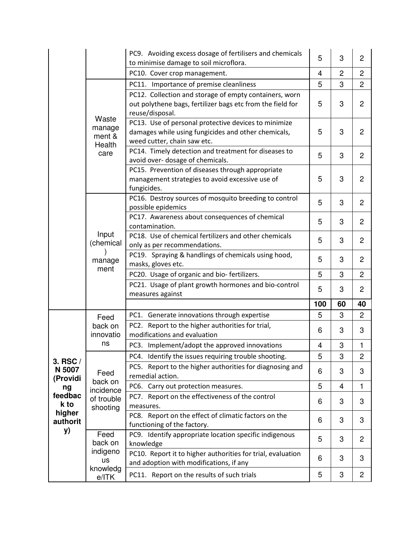|                                             |                                                        | PC9. Avoiding excess dosage of fertilisers and chemicals<br>to minimise damage to soil microflora.                                         | 5              | 3  | $\overline{2}$ |
|---------------------------------------------|--------------------------------------------------------|--------------------------------------------------------------------------------------------------------------------------------------------|----------------|----|----------------|
|                                             |                                                        | PC10. Cover crop management.                                                                                                               | $\overline{4}$ | 2  | $\overline{2}$ |
|                                             |                                                        | PC11. Importance of premise cleanliness                                                                                                    | 5              | 3  | $\overline{2}$ |
|                                             | Waste<br>manage<br>ment &<br>Health<br>care            | PC12. Collection and storage of empty containers, worn<br>out polythene bags, fertilizer bags etc from the field for<br>reuse/disposal.    | 5              | 3  | $\overline{2}$ |
|                                             |                                                        | PC13. Use of personal protective devices to minimize<br>damages while using fungicides and other chemicals,<br>weed cutter, chain saw etc. | 5              | 3  | $\overline{2}$ |
|                                             |                                                        | PC14. Timely detection and treatment for diseases to<br>avoid over- dosage of chemicals.                                                   | 5              | 3  | $\overline{2}$ |
|                                             |                                                        | PC15. Prevention of diseases through appropriate<br>management strategies to avoid excessive use of<br>fungicides.                         | 5              | 3  | 2              |
|                                             | Input<br>(chemical<br>manage<br>ment                   | PC16. Destroy sources of mosquito breeding to control<br>possible epidemics                                                                | 5              | 3  | 2              |
|                                             |                                                        | PC17. Awareness about consequences of chemical<br>contamination.                                                                           | 5              | 3  | $\overline{2}$ |
|                                             |                                                        | PC18. Use of chemical fertilizers and other chemicals<br>only as per recommendations.                                                      | 5              | 3  | $\overline{c}$ |
|                                             |                                                        | PC19. Spraying & handlings of chemicals using hood,<br>masks, gloves etc.                                                                  | 5              | 3  | 2              |
|                                             |                                                        | PC20. Usage of organic and bio-fertilizers.                                                                                                | 5              | 3  | $\overline{2}$ |
|                                             |                                                        | PC21. Usage of plant growth hormones and bio-control<br>measures against                                                                   | 5              | 3  | $\overline{2}$ |
|                                             |                                                        |                                                                                                                                            | 100            | 60 | 40             |
|                                             | Feed<br>back on<br>innovatio<br>ns                     | PC1. Generate innovations through expertise                                                                                                | 5              | 3  | $\overline{2}$ |
| 3. RSC /<br>N 5007<br>(Providi              |                                                        | PC2. Report to the higher authorities for trial,<br>modifications and evaluation                                                           | 6              | 3  | 3              |
|                                             |                                                        | PC3. Implement/adopt the approved innovations                                                                                              | $\overline{4}$ | 3  | $\mathbf{1}$   |
|                                             | Feed<br>back on<br>incidence<br>of trouble<br>shooting | PC4. Identify the issues requiring trouble shooting.                                                                                       | 5              | 3  | $\overline{2}$ |
|                                             |                                                        | PC5. Report to the higher authorities for diagnosing and<br>remedial action.                                                               | 6              | 3  | 3              |
| ng                                          |                                                        | PC6. Carry out protection measures.                                                                                                        | 5              | 4  | $\mathbf{1}$   |
| feedbac<br>k to<br>higher<br>authorit<br>y) |                                                        | PC7. Report on the effectiveness of the control<br>measures.                                                                               | 6              | 3  | 3              |
|                                             |                                                        | PC8. Report on the effect of climatic factors on the<br>functioning of the factory.                                                        | 6              | 3  | 3              |
|                                             | Feed<br>back on                                        | PC9. Identify appropriate location specific indigenous<br>knowledge                                                                        | 5              | 3  | $\overline{2}$ |
|                                             | indigeno<br>us                                         | PC10. Report it to higher authorities for trial, evaluation<br>and adoption with modifications, if any                                     | 6              | 3  | 3              |
|                                             | knowledg<br>e/ITK                                      | PC11. Report on the results of such trials                                                                                                 | 5              | 3  | $\overline{c}$ |